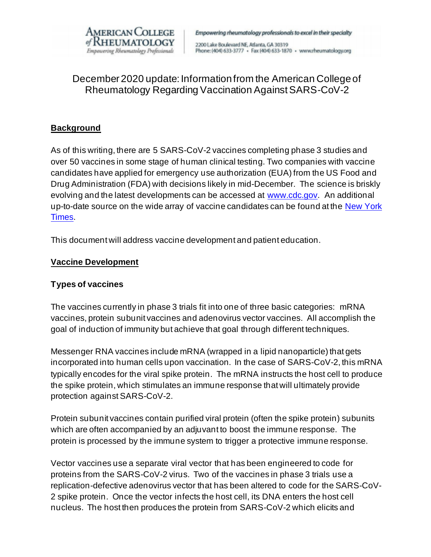

Empowering rheumatology professionals to excel in their specialty

2200 Lake Boulevard NE, Atlanta, GA 30319 Phone: (404) 633-3777 · Fax (404) 633-1870 · www.rheumatology.org

# December 2020 update: Information from the American College of Rheumatology Regarding Vaccination Against SARS-CoV-2

# **Background**

As of this writing, there are 5 SARS-CoV-2 vaccines completing phase 3 studies and over 50 vaccines in some stage of human clinical testing. Two companies with vaccine candidates have applied for emergency use authorization (EUA) from the US Food and Drug Administration (FDA) with decisions likely in mid-December. The science is briskly evolving and the latest developments can be accessed at www.cdc.gov. An additional up-to-date source on the wide array of vaccine candidates can be found at the New York Times.

This document will address vaccine development and patient education.

#### **Vaccine Development**

#### **Types of vaccines**

The vaccines currently in phase 3 trials fit into one of three basic categories: mRNA vaccines, protein subunit vaccines and adenovirus vector vaccines. All accomplish the goal of induction of immunity but achieve that goal through different techniques.

Messenger RNA vaccines include mRNA (wrapped in a lipid nanoparticle) that gets incorporated into human cells upon vaccination. In the case of SARS-CoV-2, this mRNA typically encodes for the viral spike protein. The mRNA instructs the host cell to produce the spike protein, which stimulates an immune response that will ultimately provide protection against SARS-CoV-2.

Protein subunit vaccines contain purified viral protein (often the spike protein) subunits which are often accompanied by an adjuvant to boost the immune response. The protein is processed by the immune system to trigger a protective immune response.

Vector vaccines use a separate viral vector that has been engineered to code for proteins from the SARS-CoV-2 virus. Two of the vaccines in phase 3 trials use a replication-defective adenovirus vector that has been altered to code for the SARS-CoV-2 spike protein. Once the vector infects the host cell, its DNA enters the host cell nucleus. The host then produces the protein from SARS-CoV-2 which elicits and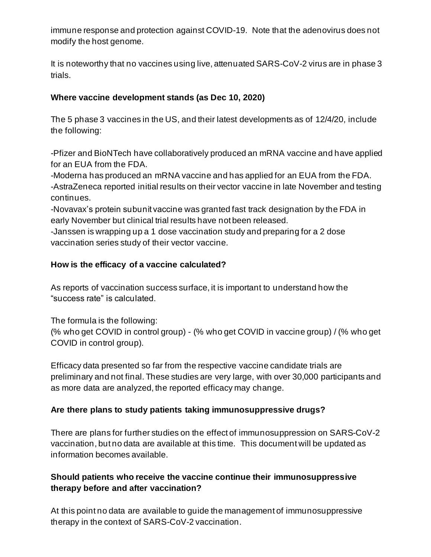immune response and protection against COVID-19. Note that the adenovirus does not modify the host genome.

It is noteworthy that no vaccines using live, attenuated SARS-CoV-2 virus are in phase 3 trials.

# **Where vaccine development stands (as Dec 10, 2020)**

The 5 phase 3 vaccines in the US, and their latest developments as of 12/4/20, include the following:

-Pfizer and BioNTech have collaboratively produced an mRNA vaccine and have applied for an EUA from the FDA.

-Moderna has produced an mRNA vaccine and has applied for an EUA from the FDA. -AstraZeneca reported initial results on their vector vaccine in late November and testing continues.

-Novavax's protein subunit vaccine was granted fast track designation by the FDA in early November but clinical trial results have not been released.

-Janssen is wrapping up a 1 dose vaccination study and preparing for a 2 dose vaccination series study of their vector vaccine.

## **How is the efficacy of a vaccine calculated?**

As reports of vaccination success surface, it is important to understand how the "success rate" is calculated.

The formula is the following:

(% who get COVID in control group) - (% who get COVID in vaccine group) / (% who get COVID in control group).

Efficacy data presented so far from the respective vaccine candidate trials are preliminary and not final. These studies are very large, with over 30,000 participants and as more data are analyzed, the reported efficacy may change.

# **Are there plans to study patients taking immunosuppressive drugs?**

There are plans for further studies on the effect of immunosuppression on SARS-CoV-2 vaccination, but no data are available at this time. This document will be updated as information becomes available.

## **Should patients who receive the vaccine continue their immunosuppressive therapy before and after vaccination?**

At this point no data are available to guide the management of immunosuppressive therapy in the context of SARS-CoV-2 vaccination.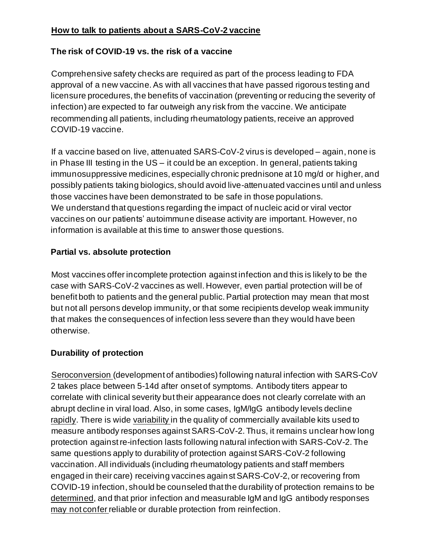# **How to talk to patients about a SARS-CoV-2 vaccine**

# **The risk of COVID-19 vs. the risk of a vaccine**

Comprehensive safety checks are required as part of the process leading to FDA approval of a new vaccine. As with all vaccines that have passed rigorous testing and licensure procedures, the benefits of vaccination (preventing or reducing the severity of infection) are expected to far outweigh any risk from the vaccine. We anticipate recommending all patients, including rheumatology patients, receive an approved COVID-19 vaccine.

If a vaccine based on live, attenuated SARS-CoV-2 virus is developed – again, none is in Phase III testing in the US – it could be an exception. In general, patients taking immunosuppressive medicines, especially chronic prednisone at 10 mg/d or higher, and possibly patients taking biologics, should avoid live-attenuated vaccines until and unless those vaccines have been demonstrated to be safe in those populations. We understand that questions regarding the impact of nucleic acid or viral vector vaccines on our patients' autoimmune disease activity are important. However, no information is available at this time to answer those questions.

#### **Partial vs. absolute protection**

Most vaccines offer incomplete protection against infection and this is likely to be the case with SARS-CoV-2 vaccines as well. However, even partial protection will be of benefit both to patients and the general public. Partial protection may mean that most but not all persons develop immunity, or that some recipients develop weak immunity that makes the consequences of infection less severe than they would have been otherwise.

# **Durability of protection**

Seroconversion (development of antibodies) following natural infection with SARS-CoV 2 takes place between 5-14d after onset of symptoms. Antibody titers appear to correlate with clinical severity but their appearance does not clearly correlate with an abrupt decline in viral load. Also, in some cases, IgM/IgG antibody levels decline rapidly. There is wide variability in the quality of commercially available kits used to measure antibody responses against SARS-CoV-2. Thus, it remains unclear how long protection against re-infection lasts following natural infection with SARS-CoV-2. The same questions apply to durability of protection against SARS-CoV-2 following vaccination. All individuals (including rheumatology patients and staff members engaged in their care) receiving vaccines against SARS-CoV-2, or recovering from COVID-19 infection, should be counseled that the durability of protection remains to be determined, and that prior infection and measurable IgM and IgG antibody responses may not confer reliable or durable protection from reinfection.